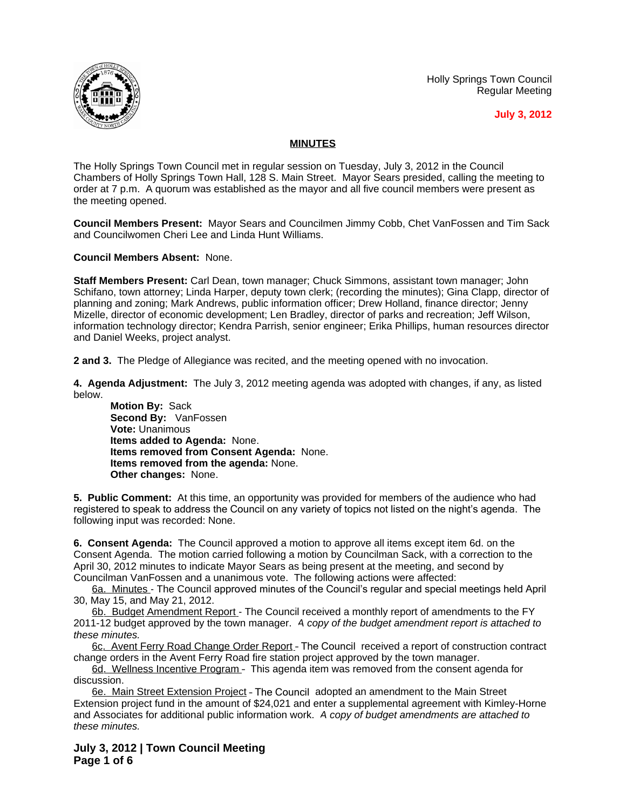Holly Springs Town Council Regular Meeting





## **MINUTES**

The Holly Springs Town Council met in regular session on Tuesday, July 3, 2012 in the Council Chambers of Holly Springs Town Hall, 128 S. Main Street. Mayor Sears presided, calling the meeting to order at 7 p.m. A quorum was established as the mayor and all five council members were present as the meeting opened.

**Council Members Present:** Mayor Sears and Councilmen Jimmy Cobb, Chet VanFossen and Tim Sack and Councilwomen Cheri Lee and Linda Hunt Williams.

**Council Members Absent:** None.

**Staff Members Present:** Carl Dean, town manager; Chuck Simmons, assistant town manager; John Schifano, town attorney; Linda Harper, deputy town clerk; (recording the minutes); Gina Clapp, director of planning and zoning; Mark Andrews, public information officer; Drew Holland, finance director; Jenny Mizelle, director of economic development; Len Bradley, director of parks and recreation; Jeff Wilson, information technology director; Kendra Parrish, senior engineer; Erika Phillips, human resources director and Daniel Weeks, project analyst.

**2 and 3.** The Pledge of Allegiance was recited, and the meeting opened with no invocation.

**4. Agenda Adjustment:** The July 3, 2012 meeting agenda was adopted with changes, if any, as listed below.

**Motion By:** Sack **Second By:** VanFossen **Vote:** Unanimous **Items added to Agenda:** None. **Items removed from Consent Agenda:** None. **Items removed from the agenda:** None. **Other changes:** None.

**5. Public Comment:** At this time, an opportunity was provided for members of the audience who had registered to speak to address the Council on any variety of topics not listed on the night's agenda. The following input was recorded: None.

**6. Consent Agenda:** The Council approved a motion to approve all items except item 6d. on the Consent Agenda. The motion carried following a motion by Councilman Sack, with a correction to the April 30, 2012 minutes to indicate Mayor Sears as being present at the meeting, and second by Councilman VanFossen and a unanimous vote. The following actions were affected:

6a. Minutes - The Council approved minutes of the Council's regular and special meetings held April 30, May 15, and May 21, 2012.

6b. Budget Amendment Report - The Council received a monthly report of amendments to the FY 2011-12 budget approved by the town manager.*A copy of the budget amendment report is attached to these minutes.*

6c. Avent Ferry Road Change Order Report - The Council received a report of construction contract change orders in the Avent Ferry Road fire station project approved by the town manager.

6d. Wellness Incentive Program – This agenda item was removed from the consent agenda for discussion.

6e. Main Street Extension Project – The Council adopted an amendment to the Main Street Extension project fund in the amount of \$24,021 and enter a supplemental agreement with Kimley-Horne and Associates for additional public information work. *A copy of budget amendments are attached to these minutes.*

**July 3, 2012 | Town Council Meeting Page 1 of 6**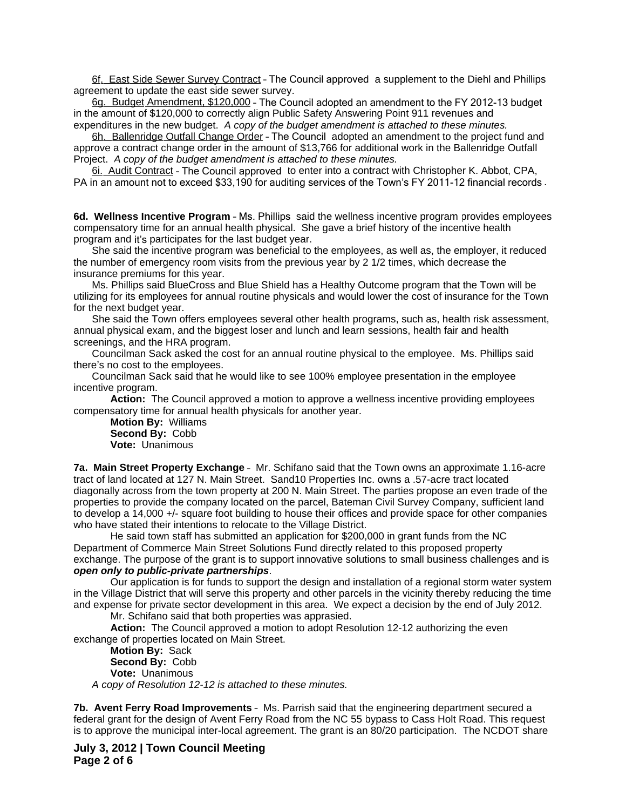6f. East Side Sewer Survey Contract – The Council approved a supplement to the Diehl and Phillips agreement to update the east side sewer survey.

6g. Budget Amendment, \$120,000 – The Council adopted an amendment to the FY 2012-13 budget in the amount of \$120,000 to correctly align Public Safety Answering Point 911 revenues and expenditures in the new budget.*A copy of the budget amendment is attached to these minutes.*

6h. Ballenridge Outfall Change Order – The Council adopted an amendment to the project fund and approve a contract change order in the amount of \$13,766 for additional work in the Ballenridge Outfall Project. *A copy of the budget amendment is attached to these minutes.*

6i. Audit Contract – The Council approved to enter into a contract with Christopher K. Abbot, CPA, PA in an amount not to exceed \$33,190 for auditing services of the Town's FY 2011-12 financial records .

**6d. Wellness Incentive Program** – Ms. Phillips said the wellness incentive program provides employees compensatory time for an annual health physical. She gave a brief history of the incentive health program and it's participates for the last budget year.

She said the incentive program was beneficial to the employees, as well as, the employer, it reduced the number of emergency room visits from the previous year by 2 1/2 times, which decrease the insurance premiums for this year.

Ms. Phillips said BlueCross and Blue Shield has a Healthy Outcome program that the Town will be utilizing for its employees for annual routine physicals and would lower the cost of insurance for the Town for the next budget year.

She said the Town offers employees several other health programs, such as, health risk assessment, annual physical exam, and the biggest loser and lunch and learn sessions, health fair and health screenings, and the HRA program.

Councilman Sack asked the cost for an annual routine physical to the employee. Ms. Phillips said there's no cost to the employees.

Councilman Sack said that he would like to see 100% employee presentation in the employee incentive program.

**Action:** The Council approved a motion to approve a wellness incentive providing employees compensatory time for annual health physicals for another year.

**Motion By:** Williams **Second By:** Cobb **Vote:** Unanimous

**7a. Main Street Property Exchange** – Mr. Schifano said that the Town owns an approximate 1.16-acre tract of land located at 127 N. Main Street. Sand10 Properties Inc. owns a .57-acre tract located diagonally across from the town property at 200 N. Main Street. The parties propose an even trade of the properties to provide the company located on the parcel, Bateman Civil Survey Company, sufficient land to develop a 14,000 +/- square foot building to house their offices and provide space for other companies who have stated their intentions to relocate to the Village District.

He said town staff has submitted an application for \$200,000 in grant funds from the NC Department of Commerce Main Street Solutions Fund directly related to this proposed property exchange. The purpose of the grant is to support innovative solutions to small business challenges and is *open only to public-private partnerships*.

Our application is for funds to support the design and installation of a regional storm water system in the Village District that will serve this property and other parcels in the vicinity thereby reducing the time and expense for private sector development in this area. We expect a decision by the end of July 2012.

Mr. Schifano said that both properties was apprasied.

**Action:** The Council approved a motion to adopt Resolution 12-12 authorizing the even exchange of properties located on Main Street.

**Motion By:** Sack **Second By:** Cobb **Vote:** Unanimous *A copy of Resolution 12-12 is attached to these minutes.*

**7b. Avent Ferry Road Improvements** – Ms. Parrish said that the engineering department secured a federal grant for the design of Avent Ferry Road from the NC 55 bypass to Cass Holt Road. This request is to approve the municipal inter-local agreement. The grant is an 80/20 participation. The NCDOT share

**July 3, 2012 | Town Council Meeting Page 2 of 6**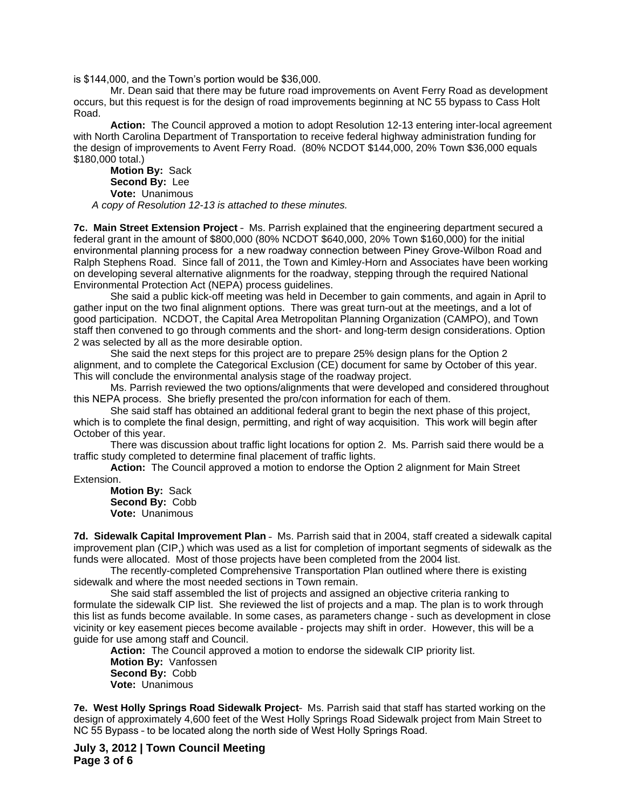is \$144,000, and the Town's portion would be \$36,000.

Mr. Dean said that there may be future road improvements on Avent Ferry Road as development occurs, but this request is for the design of road improvements beginning at NC 55 bypass to Cass Holt Road.

**Action:** The Council approved a motion to adopt Resolution 12-13 entering inter-local agreement with North Carolina Department of Transportation to receive federal highway administration funding for the design of improvements to Avent Ferry Road. (80% NCDOT \$144,000, 20% Town \$36,000 equals \$180,000 total.)

**Motion By:** Sack **Second By:** Lee **Vote:** Unanimous *A copy of Resolution 12-13 is attached to these minutes.*

**7c. Main Street Extension Project** – Ms. Parrish explained that the engineering department secured a federal grant in the amount of \$800,000 (80% NCDOT \$640,000, 20% Town \$160,000) for the initial environmental planning process for a new roadway connection between Piney Grove-Wilbon Road and Ralph Stephens Road. Since fall of 2011, the Town and Kimley-Horn and Associates have been working on developing several alternative alignments for the roadway, stepping through the required National Environmental Protection Act (NEPA) process guidelines.

She said a public kick-off meeting was held in December to gain comments, and again in April to gather input on the two final alignment options. There was great turn-out at the meetings, and a lot of good participation. NCDOT, the Capital Area Metropolitan Planning Organization (CAMPO), and Town staff then convened to go through comments and the short- and long-term design considerations. Option 2 was selected by all as the more desirable option.

She said the next steps for this project are to prepare 25% design plans for the Option 2 alignment, and to complete the Categorical Exclusion (CE) document for same by October of this year. This will conclude the environmental analysis stage of the roadway project.

Ms. Parrish reviewed the two options/alignments that were developed and considered throughout this NEPA process. She briefly presented the pro/con information for each of them.

She said staff has obtained an additional federal grant to begin the next phase of this project, which is to complete the final design, permitting, and right of way acquisition. This work will begin after October of this year.

There was discussion about traffic light locations for option 2. Ms. Parrish said there would be a traffic study completed to determine final placement of traffic lights.

**Action:** The Council approved a motion to endorse the Option 2 alignment for Main Street Extension.

**Motion By:** Sack **Second By:** Cobb **Vote:** Unanimous

**7d. Sidewalk Capital Improvement Plan** – Ms. Parrish said that in 2004, staff created a sidewalk capital improvement plan (CIP,) which was used as a list for completion of important segments of sidewalk as the funds were allocated. Most of those projects have been completed from the 2004 list.

The recently-completed Comprehensive Transportation Plan outlined where there is existing sidewalk and where the most needed sections in Town remain.

She said staff assembled the list of projects and assigned an objective criteria ranking to formulate the sidewalk CIP list. She reviewed the list of projects and a map. The plan is to work through this list as funds become available. In some cases, as parameters change - such as development in close vicinity or key easement pieces become available - projects may shift in order. However, this will be a guide for use among staff and Council.

**Action:** The Council approved a motion to endorse the sidewalk CIP priority list. **Motion By:** Vanfossen **Second By:** Cobb **Vote:** Unanimous

**7e. West Holly Springs Road Sidewalk Project**– Ms. Parrish said that staff has started working on the design of approximately 4,600 feet of the West Holly Springs Road Sidewalk project from Main Street to NC 55 Bypass – to be located along the north side of West Holly Springs Road.

**July 3, 2012 | Town Council Meeting Page 3 of 6**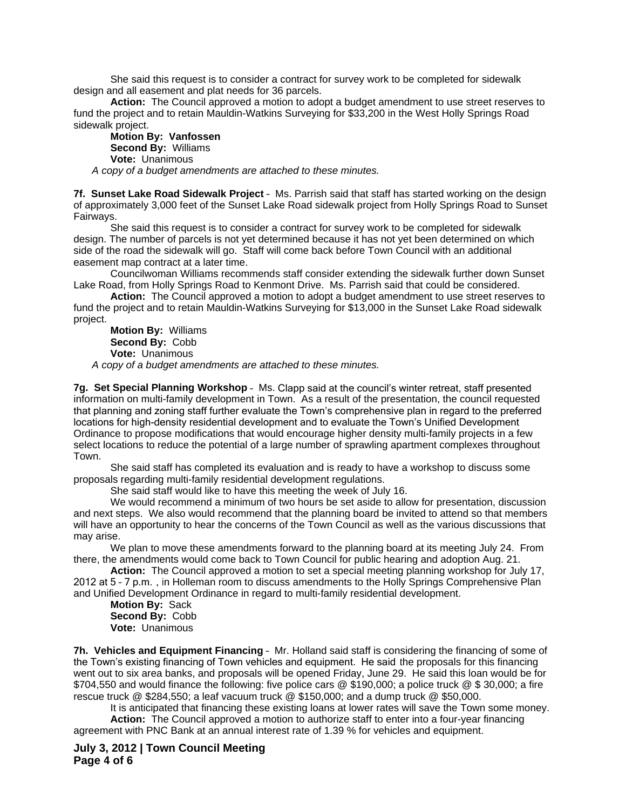She said this request is to consider a contract for survey work to be completed for sidewalk design and all easement and plat needs for 36 parcels.

**Action:** The Council approved a motion to adopt a budget amendment to use street reserves to fund the project and to retain Mauldin-Watkins Surveying for \$33,200 in the West Holly Springs Road sidewalk project.

**Motion By: Vanfossen Second By:** Williams **Vote:** Unanimous

*A copy of a budget amendments are attached to these minutes.*

**7f. Sunset Lake Road Sidewalk Project** – Ms. Parrish said that staff has started working on the design of approximately 3,000 feet of the Sunset Lake Road sidewalk project from Holly Springs Road to Sunset Fairways.

She said this request is to consider a contract for survey work to be completed for sidewalk design. The number of parcels is not yet determined because it has not yet been determined on which side of the road the sidewalk will go. Staff will come back before Town Council with an additional easement map contract at a later time.

Councilwoman Williams recommends staff consider extending the sidewalk further down Sunset Lake Road, from Holly Springs Road to Kenmont Drive. Ms. Parrish said that could be considered.

**Action:** The Council approved a motion to adopt a budget amendment to use street reserves to fund the project and to retain Mauldin-Watkins Surveying for \$13,000 in the Sunset Lake Road sidewalk project.

**Motion By:** Williams **Second By:** Cobb **Vote:** Unanimous *A copy of a budget amendments are attached to these minutes.*

**7g. Set Special Planning Workshop** – Ms. Clapp said at the council's winter retreat, staff presented information on multi-family development in Town. As a result of the presentation, the council requested that planning and zoning staff further evaluate the Town's comprehensive plan in regard to the preferred locations for high-density residential development and to evaluate the Town's Unified Development Ordinance to propose modifications that would encourage higher density multi-family projects in a few select locations to reduce the potential of a large number of sprawling apartment complexes throughout Town.

She said staff has completed its evaluation and is ready to have a workshop to discuss some proposals regarding multi-family residential development regulations.

She said staff would like to have this meeting the week of July 16.

We would recommend a minimum of two hours be set aside to allow for presentation, discussion and next steps. We also would recommend that the planning board be invited to attend so that members will have an opportunity to hear the concerns of the Town Council as well as the various discussions that may arise.

We plan to move these amendments forward to the planning board at its meeting July 24. From there, the amendments would come back to Town Council for public hearing and adoption Aug. 21.

**Action:** The Council approved a motion to set a special meeting planning workshop for July 17, 2012 at 5 – 7 p.m. , in Holleman room to discuss amendments to the Holly Springs Comprehensive Plan and Unified Development Ordinance in regard to multi-family residential development.

**Motion By:** Sack **Second By:** Cobb **Vote:** Unanimous

**7h. Vehicles and Equipment Financing** – Mr. Holland said staff is considering the financing of some of the Town's existing financing of Town vehicles and equipment. He said the proposals for this financing went out to six area banks, and proposals will be opened Friday, June 29. He said this loan would be for \$704,550 and would finance the following: five police cars @ \$190,000; a police truck @ \$ 30,000; a fire rescue truck @ \$284,550; a leaf vacuum truck @ \$150,000; and a dump truck @ \$50,000.

It is anticipated that financing these existing loans at lower rates will save the Town some money. **Action:** The Council approved a motion to authorize staff to enter into a four-year financing agreement with PNC Bank at an annual interest rate of 1.39 % for vehicles and equipment.

**July 3, 2012 | Town Council Meeting Page 4 of 6**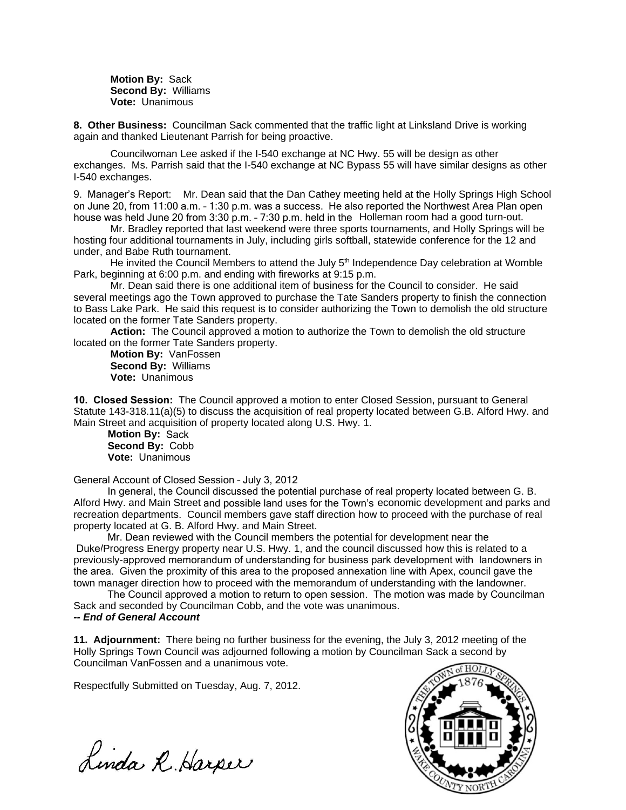**Motion By:** Sack **Second By:** Williams **Vote:** Unanimous

**8. Other Business:** Councilman Sack commented that the traffic light at Linksland Drive is working again and thanked Lieutenant Parrish for being proactive.

Councilwoman Lee asked if the I-540 exchange at NC Hwy. 55 will be design as other exchanges. Ms. Parrish said that the I-540 exchange at NC Bypass 55 will have similar designs as other I-540 exchanges.

9. Manager's Report: Mr. Dean said that the Dan Cathey meeting held at the Holly Springs High School on June 20, from 11:00 a.m. – 1:30 p.m. was a success. He also reported the Northwest Area Plan open house was held June 20 from 3:30 p.m. – 7:30 p.m. held in the Holleman room had a good turn-out.

Mr. Bradley reported that last weekend were three sports tournaments, and Holly Springs will be hosting four additional tournaments in July, including girls softball, statewide conference for the 12 and under, and Babe Ruth tournament.

He invited the Council Members to attend the July  $5<sup>th</sup>$  Independence Day celebration at Womble Park, beginning at 6:00 p.m. and ending with fireworks at 9:15 p.m.

Mr. Dean said there is one additional item of business for the Council to consider. He said several meetings ago the Town approved to purchase the Tate Sanders property to finish the connection to Bass Lake Park. He said this request is to consider authorizing the Town to demolish the old structure located on the former Tate Sanders property.

**Action:** The Council approved a motion to authorize the Town to demolish the old structure located on the former Tate Sanders property.

**Motion By:** VanFossen **Second By:** Williams **Vote:** Unanimous

**10. Closed Session:** The Council approved a motion to enter Closed Session, pursuant to General Statute 143-318.11(a)(5) to discuss the acquisition of real property located between G.B. Alford Hwy. and Main Street and acquisition of property located along U.S. Hwy. 1.

**Motion By: Sack Second By:** Cobb **Vote:** Unanimous

General Account of Closed Session – July 3, 2012

 In general, the Council discussed the potential purchase of real property located between G. B. Alford Hwy. and Main Street and possible land uses for the Town's economic development and parks and recreation departments. Council members gave staff direction how to proceed with the purchase of real property located at G. B. Alford Hwy. and Main Street.

 Mr. Dean reviewed with the Council members the potential for development near the Duke/Progress Energy property near U.S. Hwy. 1, and the council discussed how this is related to a previously-approved memorandum of understanding for business park development with landowners in the area. Given the proximity of this area to the proposed annexation line with Apex, council gave the town manager direction how to proceed with the memorandum of understanding with the landowner.

 The Council approved a motion to return to open session. The motion was made by Councilman Sack and seconded by Councilman Cobb, and the vote was unanimous.

## *-- End of General Account*

**11. Adjournment:** There being no further business for the evening, the July 3, 2012 meeting of the Holly Springs Town Council was adjourned following a motion by Councilman Sack a second by Councilman VanFossen and a unanimous vote.

Respectfully Submitted on Tuesday, Aug. 7, 2012.

 $\overline{D}$   $\cdot$   $\cdot$   $\overline{D}$   $\cdot$   $\cdot$   $\overline{D}$   $\cdot$   $\cdot$   $\overline{D}$   $\cdot$   $\cdot$   $\overline{D}$   $\cdot$   $\cdot$   $\overline{D}$   $\cdot$   $\cdot$   $\overline{D}$   $\cdot$   $\cdot$   $\overline{D}$   $\cdot$   $\cdot$   $\overline{D}$   $\cdot$   $\cdot$   $\overline{D}$   $\cdot$   $\cdot$   $\overline{D}$   $\cdot$   $\cdot$   $\overline{D}$   $\cdot$  $\Lambda$ *mdi*